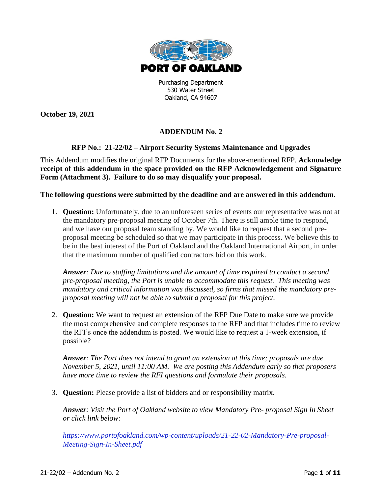

Purchasing Department 530 Water Street Oakland, CA 94607

**October 19, 2021**

## **ADDENDUM No. 2**

## **RFP No.: 21-22/02 – Airport Security Systems Maintenance and Upgrades**

This Addendum modifies the original RFP Documents for the above-mentioned RFP. **Acknowledge receipt of this addendum in the space provided on the RFP Acknowledgement and Signature Form (Attachment 3). Failure to do so may disqualify your proposal.**

## **The following questions were submitted by the deadline and are answered in this addendum.**

1. **Question:** Unfortunately, due to an unforeseen series of events our representative was not at the mandatory pre-proposal meeting of October 7th. There is still ample time to respond, and we have our proposal team standing by. We would like to request that a second preproposal meeting be scheduled so that we may participate in this process. We believe this to be in the best interest of the Port of Oakland and the Oakland International Airport, in order that the maximum number of qualified contractors bid on this work.

*Answer: Due to staffing limitations and the amount of time required to conduct a second pre-proposal meeting, the Port is unable to accommodate this request. This meeting was mandatory and critical information was discussed, so firms that missed the mandatory preproposal meeting will not be able to submit a proposal for this project.*

2. **Question:** We want to request an extension of the RFP Due Date to make sure we provide the most comprehensive and complete responses to the RFP and that includes time to review the RFI's once the addendum is posted. We would like to request a 1-week extension, if possible?

*Answer: The Port does not intend to grant an extension at this time; proposals are due November 5, 2021, until 11:00 AM. We are posting this Addendum early so that proposers have more time to review the RFI questions and formulate their proposals.*

3. **Question:** Please provide a list of bidders and or responsibility matrix.

*Answer: Visit the Port of Oakland website to view Mandatory Pre- proposal Sign In Sheet or click link below:*

*[https://www.portofoakland.com/wp-content/uploads/21-22-02-Mandatory-Pre-proposal-](https://www.portofoakland.com/wp-content/uploads/21-22-02-Mandatory-Pre-proposal-Meeting-Sign-In-Sheet.pdf)[Meeting-Sign-In-Sheet.pdf](https://www.portofoakland.com/wp-content/uploads/21-22-02-Mandatory-Pre-proposal-Meeting-Sign-In-Sheet.pdf)*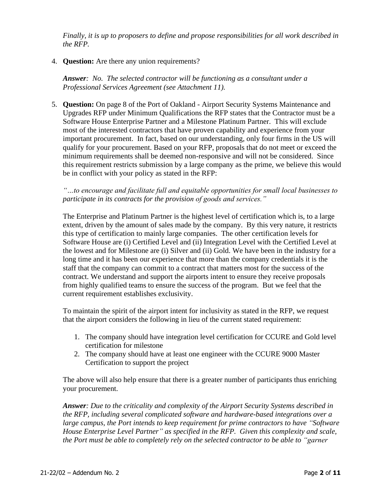*Finally, it is up to proposers to define and propose responsibilities for all work described in the RFP.*

## 4. **Question:** Are there any union requirements?

*Answer: No. The selected contractor will be functioning as a consultant under a Professional Services Agreement (see Attachment 11).*

5. **Question:** On page 8 of the Port of Oakland - Airport Security Systems Maintenance and Upgrades RFP under Minimum Qualifications the RFP states that the Contractor must be a Software House Enterprise Partner and a Milestone Platinum Partner. This will exclude most of the interested contractors that have proven capability and experience from your important procurement. In fact, based on our understanding, only four firms in the US will qualify for your procurement. Based on your RFP, proposals that do not meet or exceed the minimum requirements shall be deemed non-responsive and will not be considered. Since this requirement restricts submission by a large company as the prime, we believe this would be in conflict with your policy as stated in the RFP:

*"…to encourage and facilitate full and equitable opportunities for small local businesses to participate in its contracts for the provision of goods and services."*

The Enterprise and Platinum Partner is the highest level of certification which is, to a large extent, driven by the amount of sales made by the company. By this very nature, it restricts this type of certification to mainly large companies. The other certification levels for Software House are (i) Certified Level and (ii) Integration Level with the Certified Level at the lowest and for Milestone are (i) Silver and (ii) Gold. We have been in the industry for a long time and it has been our experience that more than the company credentials it is the staff that the company can commit to a contract that matters most for the success of the contract. We understand and support the airports intent to ensure they receive proposals from highly qualified teams to ensure the success of the program. But we feel that the current requirement establishes exclusivity.

To maintain the spirit of the airport intent for inclusivity as stated in the RFP, we request that the airport considers the following in lieu of the current stated requirement:

- 1. The company should have integration level certification for CCURE and Gold level certification for milestone
- 2. The company should have at least one engineer with the CCURE 9000 Master Certification to support the project

The above will also help ensure that there is a greater number of participants thus enriching your procurement.

*Answer: Due to the criticality and complexity of the Airport Security Systems described in the RFP, including several complicated software and hardware-based integrations over a large campus, the Port intends to keep requirement for prime contractors to have "Software House Enterprise Level Partner" as specified in the RFP. Given this complexity and scale, the Port must be able to completely rely on the selected contractor to be able to "garner*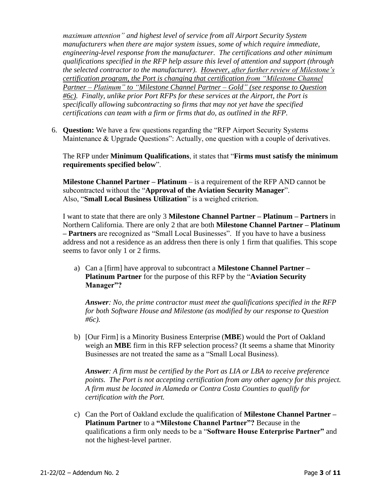*maximum attention" and highest level of service from all Airport Security System manufacturers when there are major system issues, some of which require immediate, engineering-level response from the manufacturer. The certifications and other minimum qualifications specified in the RFP help assure this level of attention and support (through the selected contractor to the manufacturer). However, after further review of Milestone's certification program, the Port is changing that certification from "Milestone Channel Partner – Platinum" to "Milestone Channel Partner – Gold" (see response to Question #6c). Finally, unlike prior Port RFPs for these services at the Airport, the Port is specifically allowing subcontracting so firms that may not yet have the specified certifications can team with a firm or firms that do, as outlined in the RFP.*

6. **Question:** We have a few questions regarding the "RFP Airport Security Systems Maintenance & Upgrade Questions": Actually, one question with a couple of derivatives.

The RFP under **Minimum Qualifications**, it states that "**Firms must satisfy the minimum requirements specified below**".

**Milestone Channel Partner – Platinum** – is a requirement of the RFP AND cannot be subcontracted without the "**Approval of the Aviation Security Manager**". Also, "**Small Local Business Utilization**" is a weighed criterion.

I want to state that there are only 3 **Milestone Channel Partner – Platinum – Partners** in Northern California. There are only 2 that are both **Milestone Channel Partner – Platinum – Partners** are recognized as "Small Local Businesses". If you have to have a business address and not a residence as an address then there is only 1 firm that qualifies. This scope seems to favor only 1 or 2 firms.

a) Can a [firm] have approval to subcontract a **Milestone Channel Partner – Platinum Partner** for the purpose of this RFP by the "**Aviation Security Manager"?**

*Answer: No, the prime contractor must meet the qualifications specified in the RFP for both Software House and Milestone (as modified by our response to Question #6c).*

b) [Our Firm] is a Minority Business Enterprise (**MBE**) would the Port of Oakland weigh an **MBE** firm in this RFP selection process? (It seems a shame that Minority Businesses are not treated the same as a "Small Local Business).

*Answer: A firm must be certified by the Port as LIA or LBA to receive preference points. The Port is not accepting certification from any other agency for this project. A firm must be located in Alameda or Contra Costa Counties to qualify for certification with the Port.*

c) Can the Port of Oakland exclude the qualification of **Milestone Channel Partner – Platinum Partner** to a **"Milestone Channel Partner"?** Because in the qualifications a firm only needs to be a "**Software House Enterprise Partner"** and not the highest-level partner.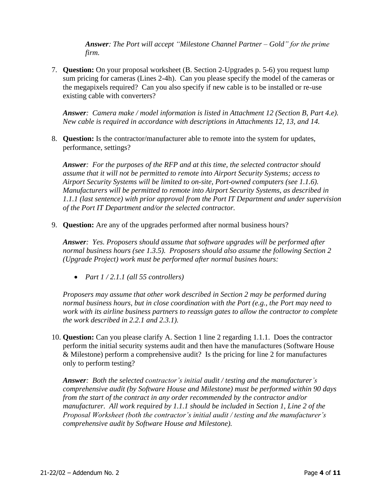*Answer: The Port will accept "Milestone Channel Partner – Gold" for the prime firm.*

7. **Question:** On your proposal worksheet (B. Section 2-Upgrades p. 5-6) you request lump sum pricing for cameras (Lines 2-4h). Can you please specify the model of the cameras or the megapixels required? Can you also specify if new cable is to be installed or re-use existing cable with converters?

*Answer: Camera make / model information is listed in Attachment 12 (Section B, Part 4.e). New cable is required in accordance with descriptions in Attachments 12, 13, and 14.*

8. **Question:** Is the contractor/manufacturer able to remote into the system for updates, performance, settings?

*Answer: For the purposes of the RFP and at this time, the selected contractor should assume that it will not be permitted to remote into Airport Security Systems; access to Airport Security Systems will be limited to on-site, Port-owned computers (see 1.1.6). Manufacturers will be permitted to remote into Airport Security Systems, as described in 1.1.1 (last sentence) with prior approval from the Port IT Department and under supervision of the Port IT Department and/or the selected contractor.*

9. **Question:** Are any of the upgrades performed after normal business hours?

*Answer: Yes. Proposers should assume that software upgrades will be performed after normal business hours (see 1.3.5). Proposers should also assume the following Section 2 (Upgrade Project) work must be performed after normal busines hours:*

• *Part 1 / 2.1.1 (all 55 controllers)*

*Proposers may assume that other work described in Section 2 may be performed during normal business hours, but in close coordination with the Port (e.g., the Port may need to work with its airline business partners to reassign gates to allow the contractor to complete the work described in 2.2.1 and 2.3.1).*

10. **Question:** Can you please clarify A. Section 1 line 2 regarding 1.1.1. Does the contractor perform the initial security systems audit and then have the manufactures (Software House & Milestone) perform a comprehensive audit? Is the pricing for line 2 for manufactures only to perform testing?

*Answer: Both the selected contractor's initial audit / testing and the manufacturer's comprehensive audit (by Software House and Milestone) must be performed within 90 days from the start of the contract in any order recommended by the contractor and/or manufacturer. All work required by 1.1.1 should be included in Section 1, Line 2 of the Proposal Worksheet (both the contractor's initial audit / testing and the manufacturer's comprehensive audit by Software House and Milestone).*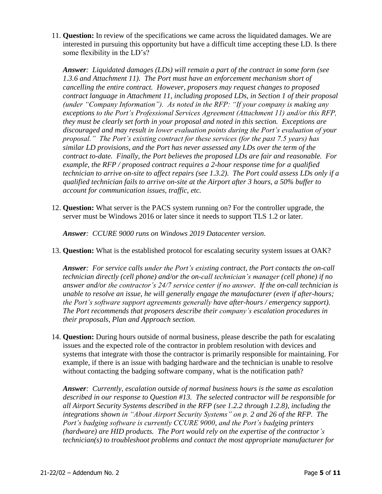11. **Question:** In review of the specifications we came across the liquidated damages. We are interested in pursuing this opportunity but have a difficult time accepting these LD. Is there some flexibility in the LD's?

*Answer: Liquidated damages (LDs) will remain a part of the contract in some form (see 1.3.6 and Attachment 11). The Port must have an enforcement mechanism short of cancelling the entire contract. However, proposers may request changes to proposed contract language in Attachment 11, including proposed LDs, in Section 1 of their proposal (under "Company Information"). As noted in the RFP: "If your company is making any exceptions to the Port's Professional Services Agreement (Attachment 11) and/or this RFP, they must be clearly set forth in your proposal and noted in this section. Exceptions are discouraged and may result in lower evaluation points during the Port's evaluation of your proposal." The Port's existing contract for these services (for the past 7.5 years) has similar LD provisions, and the Port has never assessed any LDs over the term of the contract to-date. Finally, the Port believes the proposed LDs are fair and reasonable. For example, the RFP / proposed contract requires a 2-hour response time for a qualified technician to arrive on-site to affect repairs (see 1.3.2). The Port could assess LDs only if a qualified technician fails to arrive on-site at the Airport after 3 hours, a 50% buffer to account for communication issues, traffic, etc.*

12. **Question:** What server is the PACS system running on? For the controller upgrade, the server must be Windows 2016 or later since it needs to support TLS 1.2 or later.

*Answer: CCURE 9000 runs on Windows 2019 Datacenter version.*

13. **Question:** What is the established protocol for escalating security system issues at OAK?

*Answer: For service calls under the Port's existing contract, the Port contacts the on-call technician directly (cell phone) and/or the on-call technician's manager (cell phone) if no answer and/or the contractor's 24/7 service center if no answer. If the on-call technician is unable to resolve an issue, he will generally engage the manufacturer (even if after-hours; the Port's software support agreements generally have after-hours / emergency support). The Port recommends that proposers describe their company's escalation procedures in their proposals, Plan and Approach section.* 

14. **Question:** During hours outside of normal business, please describe the path for escalating issues and the expected role of the contractor in problem resolution with devices and systems that integrate with those the contractor is primarily responsible for maintaining. For example, if there is an issue with badging hardware and the technician is unable to resolve without contacting the badging software company, what is the notification path?

*Answer: Currently, escalation outside of normal business hours is the same as escalation described in our response to Question #13. The selected contractor will be responsible for all Airport Security Systems described in the RFP (see 1.2.2 through 1.2.8), including the integrations shown in "About Airport Security Systems" on p. 2 and 26 of the RFP. The Port's badging software is currently CCURE 9000, and the Port's badging printers (hardware) are HID products. The Port would rely on the expertise of the contractor's technician(s) to troubleshoot problems and contact the most appropriate manufacturer for*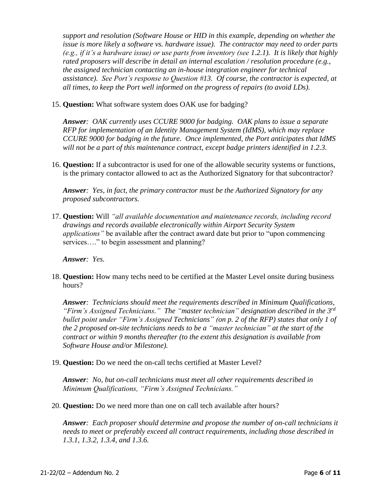*support and resolution (Software House or HID in this example, depending on whether the issue is more likely a software vs. hardware issue). The contractor may need to order parts (e.g., if it's a hardware issue) or use parts from inventory (see 1.2.1). It is likely that highly rated proposers will describe in detail an internal escalation / resolution procedure (e.g., the assigned technician contacting an in-house integration engineer for technical assistance). See Port's response to Question #13. Of course, the contractor is expected, at all times, to keep the Port well informed on the progress of repairs (to avoid LDs).*

15. **Question:** What software system does OAK use for badging?

*Answer: OAK currently uses CCURE 9000 for badging. OAK plans to issue a separate RFP for implementation of an Identity Management System (IdMS), which may replace CCURE 9000 for badging in the future. Once implemented, the Port anticipates that IdMS will not be a part of this maintenance contract, except badge printers identified in 1.2.3.*

16. **Question:** If a subcontractor is used for one of the allowable security systems or functions, is the primary contactor allowed to act as the Authorized Signatory for that subcontractor?

*Answer: Yes, in fact, the primary contractor must be the Authorized Signatory for any proposed subcontractors.*

17. **Question:** Will *"all available documentation and maintenance records, including record drawings and records available electronically within Airport Security System applications"* be available after the contract award date but prior to "upon commencing services...." to begin assessment and planning?

*Answer: Yes.*

18. **Question:** How many techs need to be certified at the Master Level onsite during business hours?

*Answer: Technicians should meet the requirements described in Minimum Qualifications, "Firm's Assigned Technicians." The "master technician" designation described in the 3rd bullet point under "Firm's Assigned Technicians" (on p. 2 of the RFP) states that only 1 of the 2 proposed on-site technicians needs to be a "master technician" at the start of the contract or within 9 months thereafter (to the extent this designation is available from Software House and/or Milestone).*

19. **Question:** Do we need the on-call techs certified at Master Level?

*Answer: No, but on-call technicians must meet all other requirements described in Minimum Qualifications, "Firm's Assigned Technicians."*

20. **Question:** Do we need more than one on call tech available after hours?

*Answer: Each proposer should determine and propose the number of on-call technicians it needs to meet or preferably exceed all contract requirements, including those described in 1.3.1, 1.3.2, 1.3.4, and 1.3.6.*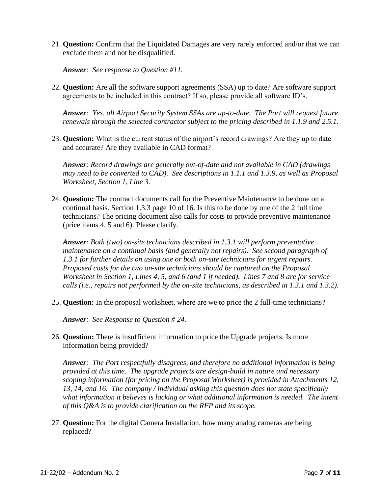21. **Question:** Confirm that the Liquidated Damages are very rarely enforced and/or that we can exclude them and not be disqualified.

*Answer: See response to Question #11.*

22. **Question:** Are all the software support agreements (SSA) up to date? Are software support agreements to be included in this contract? If so, please provide all software ID's.

*Answer: Yes, all Airport Security System SSAs are up-to-date. The Port will request future renewals through the selected contractor subject to the pricing described in 1.1.9 and 2.5.1.*

23. **Question:** What is the current status of the airport's record drawings? Are they up to date and accurate? Are they available in CAD format?

*Answer: Record drawings are generally out-of-date and not available in CAD (drawings may need to be converted to CAD). See descriptions in 1.1.1 and 1.3.9, as well as Proposal Worksheet, Section 1, Line 3.*

24. **Question:** The contract documents call for the Preventive Maintenance to be done on a continual basis. Section 1.3.3 page 10 of 16. Is this to be done by one of the 2 full time technicians? The pricing document also calls for costs to provide preventive maintenance (price items 4, 5 and 6). Please clarify.

*Answer: Both (two) on-site technicians described in 1.3.1 will perform preventative maintenance on a continual basis (and generally not repairs). See second paragraph of 1.3.1 for further details on using one or both on-site technicians for urgent repairs. Proposed costs for the two on-site technicians should be captured on the Proposal Worksheet in Section 1, Lines 4, 5, and 6 (and 1 if needed). Lines 7 and 8 are for service calls (i.e., repairs not performed by the on-site technicians, as described in 1.3.1 and 1.3.2).*

25. **Question:** In the proposal worksheet, where are we to price the 2 full-time technicians?

*Answer: See Response to Question # 24.*

26. **Question:** There is insufficient information to price the Upgrade projects. Is more information being provided?

*Answer: The Port respectfully disagrees, and therefore no additional information is being provided at this time. The upgrade projects are design-build in nature and necessary scoping information (for pricing on the Proposal Worksheet) is provided in Attachments 12, 13, 14, and 16. The company / individual asking this question does not state specifically what information it believes is lacking or what additional information is needed. The intent of this Q&A is to provide clarification on the RFP and its scope.*

27. **Question:** For the digital Camera Installation, how many analog cameras are being replaced?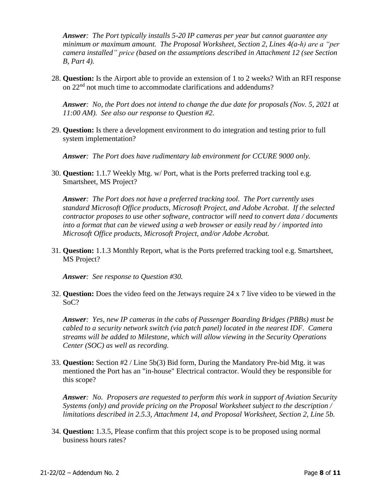*Answer: The Port typically installs 5-20 IP cameras per year but cannot guarantee any minimum or maximum amount. The Proposal Worksheet, Section 2, Lines 4(a-h) are a "per camera installed" price (based on the assumptions described in Attachment 12 (see Section B, Part 4).*

28. **Question:** Is the Airport able to provide an extension of 1 to 2 weeks? With an RFI response on 22nd not much time to accommodate clarifications and addendums?

*Answer: No, the Port does not intend to change the due date for proposals (Nov. 5, 2021 at 11:00 AM). See also our response to Question #2.*

29. **Question:** Is there a development environment to do integration and testing prior to full system implementation?

*Answer: The Port does have rudimentary lab environment for CCURE 9000 only.*

30. **Question:** 1.1.7 Weekly Mtg. w/ Port, what is the Ports preferred tracking tool e.g. Smartsheet, MS Project?

*Answer: The Port does not have a preferred tracking tool. The Port currently uses standard Microsoft Office products, Microsoft Project, and Adobe Acrobat. If the selected contractor proposes to use other software, contractor will need to convert data / documents into a format that can be viewed using a web browser or easily read by / imported into Microsoft Office products, Microsoft Project, and/or Adobe Acrobat.*

31. **Question:** 1.1.3 Monthly Report, what is the Ports preferred tracking tool e.g. Smartsheet, MS Project?

*Answer: See response to Question #30.*

32. **Question:** Does the video feed on the Jetways require 24 x 7 live video to be viewed in the SoC?

*Answer: Yes, new IP cameras in the cabs of Passenger Boarding Bridges (PBBs) must be cabled to a security network switch (via patch panel) located in the nearest IDF. Camera streams will be added to Milestone, which will allow viewing in the Security Operations Center (SOC) as well as recording.*

33. **Question:** Section #2 / Line 5b(3) Bid form, During the Mandatory Pre-bid Mtg. it was mentioned the Port has an "in-house" Electrical contractor. Would they be responsible for this scope?

*Answer: No. Proposers are requested to perform this work in support of Aviation Security Systems (only) and provide pricing on the Proposal Worksheet subject to the description / limitations described in 2.5.3, Attachment 14, and Proposal Worksheet, Section 2, Line 5b.*

34. **Question:** 1.3.5, Please confirm that this project scope is to be proposed using normal business hours rates?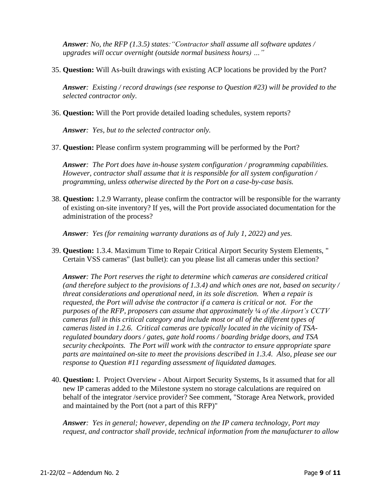*Answer: No, the RFP (1.3.5) states:"Contractor shall assume all software updates / upgrades will occur overnight (outside normal business hours) …"*

35. **Question:** Will As-built drawings with existing ACP locations be provided by the Port?

*Answer: Existing / record drawings (see response to Question #23) will be provided to the selected contractor only.*

36. **Question:** Will the Port provide detailed loading schedules, system reports?

*Answer: Yes, but to the selected contractor only.*

37. **Question:** Please confirm system programming will be performed by the Port?

*Answer: The Port does have in-house system configuration / programming capabilities. However, contractor shall assume that it is responsible for all system configuration / programming, unless otherwise directed by the Port on a case-by-case basis.*

38. **Question:** 1.2.9 Warranty, please confirm the contractor will be responsible for the warranty of existing on-site inventory? If yes, will the Port provide associated documentation for the administration of the process?

*Answer: Yes (for remaining warranty durations as of July 1, 2022) and yes.*

39. **Question:** 1.3.4. Maximum Time to Repair Critical Airport Security System Elements, " Certain VSS cameras" (last bullet): can you please list all cameras under this section?

*Answer: The Port reserves the right to determine which cameras are considered critical (and therefore subject to the provisions of 1.3.4) and which ones are not, based on security / threat considerations and operational need, in its sole discretion. When a repair is requested, the Port will advise the contractor if a camera is critical or not. For the purposes of the RFP, proposers can assume that approximately ¼ of the Airport's CCTV cameras fall in this critical category and include most or all of the different types of cameras listed in 1.2.6. Critical cameras are typically located in the vicinity of TSAregulated boundary doors / gates, gate hold rooms / boarding bridge doors, and TSA security checkpoints. The Port will work with the contractor to ensure appropriate spare parts are maintained on-site to meet the provisions described in 1.3.4. Also, please see our response to Question #11 regarding assessment of liquidated damages.*

40. **Question:** I. Project Overview - About Airport Security Systems, Is it assumed that for all new IP cameras added to the Milestone system no storage calculations are required on behalf of the integrator /service provider? See comment, "Storage Area Network, provided and maintained by the Port (not a part of this RFP)"

*Answer: Yes in general; however, depending on the IP camera technology, Port may request, and contractor shall provide, technical information from the manufacturer to allow*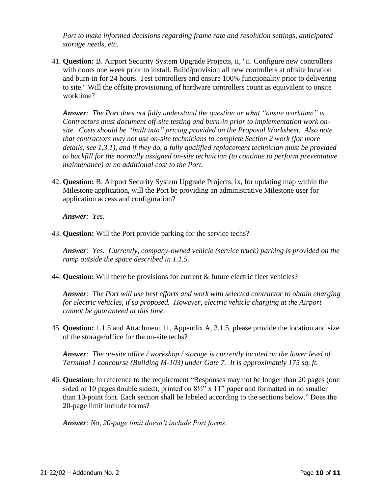*Port to make informed decisions regarding frame rate and resolution settings, anticipated storage needs, etc.*

41. **Question:** B. Airport Security System Upgrade Projects, ii, "ii. Configure new controllers with doors one week prior to install. Build/provision all new controllers at offsite location and burn-in for 24 hours. Test controllers and ensure 100% functionality prior to delivering to site." Will the offsite provisioning of hardware controllers count as equivalent to onsite worktime?

*Answer: The Port does not fully understand the question or what "onsite worktime" is. Contractors must document off-site testing and burn-in prior to implementation work onsite. Costs should be "built into" pricing provided on the Proposal Worksheet. Also note that contractors may not use on-site technicians to complete Section 2 work (for more details, see 1.3.1), and if they do, a fully qualified replacement technician must be provided to backfill for the normally assigned on-site technician (to continue to perform preventative maintenance) at no additional cost to the Port.*

42. **Question:** B. Airport Security System Upgrade Projects, ix, for updating map within the Milestone application, will the Port be providing an administrative Milestone user for application access and configuration?

*Answer: Yes.*

43. **Question:** Will the Port provide parking for the service techs?

*Answer: Yes. Currently, company-owned vehicle (service truck) parking is provided on the ramp outside the space described in 1.1.5.* 

44. **Question:** Will there be provisions for current & future electric fleet vehicles?

*Answer: The Port will use best efforts and work with selected contractor to obtain charging for electric vehicles, if so proposed. However, electric vehicle charging at the Airport cannot be guaranteed at this time.*

45. **Question:** 1.1.5 and Attachment 11, Appendix A, 3.1.5, please provide the location and size of the storage/office for the on-site techs?

*Answer: The on-site office / workshop / storage is currently located on the lower level of Terminal 1 concourse (Building M-103) under Gate 7. It is approximately 175 sq. ft.*

46. **Question:** In reference to the requirement "Responses may not be longer than 20 pages (one sided or 10 pages double sided), printed on 8½" x 11" paper and formatted in no smaller than 10-point font. Each section shall be labeled according to the sections below." Does the 20-page limit include forms?

*Answer: No, 20-page limit doesn't include Port forms.*